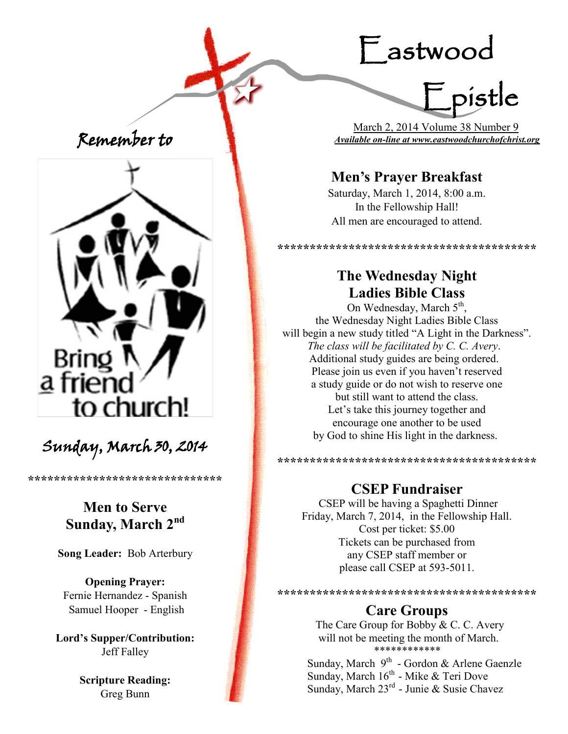# Eastwood



 March 2, 2014 Volume 38 Number 9 *Available on-line at www.eastwoodchurchofchrist.org*

## **Men's Prayer Breakfast**

Saturday, March 1, 2014, 8:00 a.m. In the Fellowship Hall! All men are encouraged to attend.

\*\*\*\*\*\*\*\*\*\*\*\*\*\*\*\*\*\*\*\*\*\*\*\*\*\*\*\*\*\*\*\*\*\*

## **The Wednesday Night Ladies Bible Class**

On Wednesday, March 5<sup>th</sup>, the Wednesday Night Ladies Bible Class will begin a new study titled "A Light in the Darkness". *The class will be facilitated by C. C. Avery*. Additional study guides are being ordered. Please join us even if you haven't reserved a study guide or do not wish to reserve one but still want to attend the class. Let's take this journey together and encourage one another to be used by God to shine His light in the darkness.

**\*\*\*\*\*\*\*\*\*\*\*\*\*\*\*\*\*\*\*\*\*\*\*\*\*\*\*\*\*\*\*\*\*\*\*\*\*\*\*\***

#### **CSEP Fundraiser**

CSEP will be having a Spaghetti Dinner Friday, March 7, 2014, in the Fellowship Hall. Cost per ticket: \$5.00 Tickets can be purchased from any CSEP staff member or please call CSEP at 593-5011.

**\*\*\*\*\*\*\*\*\*\*\*\*\*\*\*\*\*\*\*\*\*\*\*\*\*\*\*\*\*\*\*\*\*\*\*\*\*\*\*\***

#### **Care Groups**

The Care Group for Bobby & C. C. Avery will not be meeting the month of March. \*\*\*\*\*\*\*\*\*\*\*\*

Sunday, March 9<sup>th</sup> - Gordon & Arlene Gaenzle Sunday, March 16<sup>th</sup> - Mike & Teri Dove Sunday, March 23<sup>rd</sup> - Junie & Susie Chavez

Remember to



## Sunday, March 30, 2014

**\*\*\*\*\*\*\*\*\*\*\*\*\*\*\*\*\*\*\*\*\*\*\*\*\*\*\*\*\*\***

## **Men to Serve Sunday, March 2nd**

**Song Leader:** Bob Arterbury

**Opening Prayer:** Fernie Hernandez - Spanish Samuel Hooper - English

**Lord's Supper/Contribution:**  Jeff Falley

> **Scripture Reading:**  Greg Bunn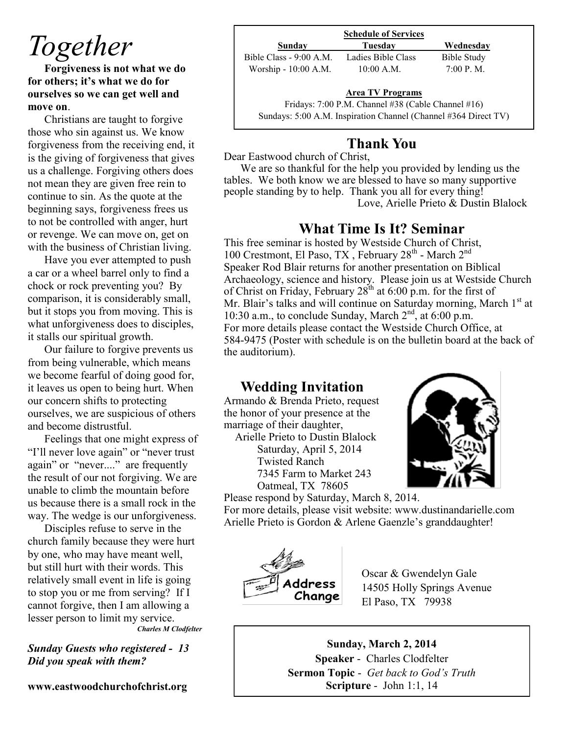## *Together*

**Forgiveness is not what we do for others; it's what we do for ourselves so we can get well and move on**.

Christians are taught to forgive those who sin against us. We know forgiveness from the receiving end, it is the giving of forgiveness that gives us a challenge. Forgiving others does not mean they are given free rein to continue to sin. As the quote at the beginning says, forgiveness frees us to not be controlled with anger, hurt or revenge. We can move on, get on with the business of Christian living.

Have you ever attempted to push a car or a wheel barrel only to find a chock or rock preventing you? By comparison, it is considerably small, but it stops you from moving. This is what unforgiveness does to disciples, it stalls our spiritual growth.

Our failure to forgive prevents us from being vulnerable, which means we become fearful of doing good for, it leaves us open to being hurt. When our concern shifts to protecting ourselves, we are suspicious of others and become distrustful.

Feelings that one might express of "I'll never love again" or "never trust again" or "never...." are frequently the result of our not forgiving. We are unable to climb the mountain before us because there is a small rock in the way. The wedge is our unforgiveness.

Disciples refuse to serve in the church family because they were hurt by one, who may have meant well, but still hurt with their words. This relatively small event in life is going to stop you or me from serving? If I cannot forgive, then I am allowing a lesser person to limit my service. *Charles M Clodfelter*

*Sunday Guests who registered - 13 Did you speak with them?*

**www.eastwoodchurchofchrist.org**

|                         | <b>Schedule of Services</b>                        |                    |  |
|-------------------------|----------------------------------------------------|--------------------|--|
| Sunday                  | Tuesdav                                            | Wednesday          |  |
| Bible Class - 9:00 A.M. | Ladies Bible Class                                 | <b>Bible Study</b> |  |
| Worship - 10:00 A.M.    | $10:00$ A.M.                                       | 7:00 P. M.         |  |
|                         | <b>Area TV Programs</b>                            |                    |  |
|                         |                                                    |                    |  |
|                         | Fridays: 7:00 P.M. Channel #38 (Cable Channel #16) |                    |  |

Sundays: 5:00 A.M. Inspiration Channel (Channel #364 Direct TV)

### **Thank You**

#### Dear Eastwood church of Christ,

We are so thankful for the help you provided by lending us the tables. We both know we are blessed to have so many supportive people standing by to help. Thank you all for every thing! Love, Arielle Prieto & Dustin Blalock

## **What Time Is It? Seminar**

This free seminar is hosted by Westside Church of Christ, 100 Crestmont, El Paso, TX, February 28<sup>th</sup> - March 2<sup>nd</sup> Speaker Rod Blair returns for another presentation on Biblical Archaeology, science and history. Please join us at Westside Church of Christ on Friday, February  $28<sup>th</sup>$  at 6:00 p.m. for the first of Mr. Blair's talks and will continue on Saturday morning, March 1st at 10:30 a.m., to conclude Sunday, March  $2<sup>nd</sup>$ , at 6:00 p.m. For more details please contact the Westside Church Office, at 584-9475 (Poster with schedule is on the bulletin board at the back of the auditorium).

### **Wedding Invitation**

Armando & Brenda Prieto, request the honor of your presence at the marriage of their daughter,

 Arielle Prieto to Dustin Blalock Saturday, April 5, 2014 Twisted Ranch 7345 Farm to Market 243 Oatmeal, TX 78605



Please respond by Saturday, March 8, 2014. For more details, please visit website: www.dustinandarielle.com Arielle Prieto is Gordon & Arlene Gaenzle's granddaughter!



Oscar & Gwendelyn Gale ddress  $14505$  Holly Springs Avenue<br>Change  $\frac{14505}{10000}$  TV, 70020 El Paso, TX 79938

**Sunday, March 2, 2014 Speaker** - Charles Clodfelter **Sermon Topic** - *Get back to God's Truth*  **Scripture** - John 1:1, 14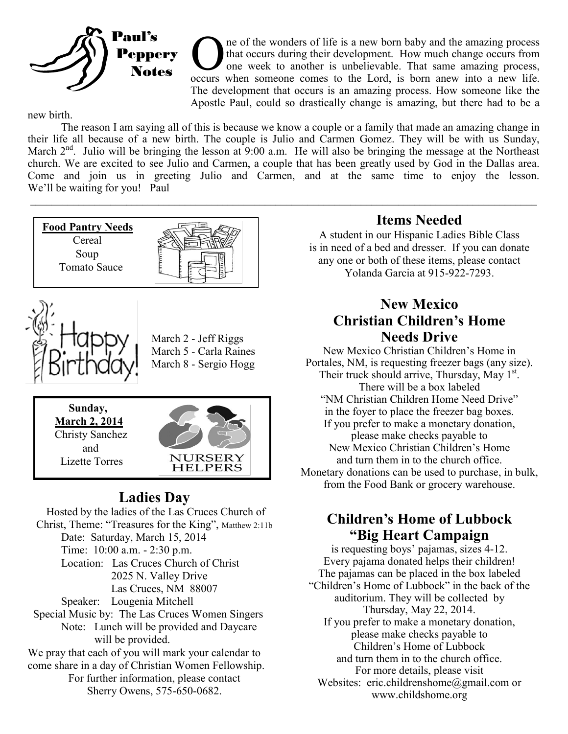

The of the wonders of life is a new born baby and the amazing process that occurs during their development. How much change occurs from one week to another is unbelievable. That same amazing process, occurs when someone co ne of the wonders of life is a new born baby and the amazing process that occurs during their development. How much change occurs from one week to another is unbelievable. That same amazing process, The development that occurs is an amazing process. How someone like the Apostle Paul, could so drastically change is amazing, but there had to be a

new birth.

The reason I am saying all of this is because we know a couple or a family that made an amazing change in their life all because of a new birth. The couple is Julio and Carmen Gomez. They will be with us Sunday, March  $2<sup>nd</sup>$ . Julio will be bringing the lesson at 9:00 a.m. He will also be bringing the message at the Northeast church. We are excited to see Julio and Carmen, a couple that has been greatly used by God in the Dallas area. Come and join us in greeting Julio and Carmen, and at the same time to enjoy the lesson. We'll be waiting for you! Paul

 $\mathcal{L}_\mathcal{L} = \mathcal{L}_\mathcal{L} = \mathcal{L}_\mathcal{L} = \mathcal{L}_\mathcal{L} = \mathcal{L}_\mathcal{L} = \mathcal{L}_\mathcal{L} = \mathcal{L}_\mathcal{L} = \mathcal{L}_\mathcal{L} = \mathcal{L}_\mathcal{L} = \mathcal{L}_\mathcal{L} = \mathcal{L}_\mathcal{L} = \mathcal{L}_\mathcal{L} = \mathcal{L}_\mathcal{L} = \mathcal{L}_\mathcal{L} = \mathcal{L}_\mathcal{L} = \mathcal{L}_\mathcal{L} = \mathcal{L}_\mathcal{L}$ 





March 2 - Jeff Riggs March 5 - Carla Raines March 8 - Sergio Hogg





### **Ladies Day**

Hosted by the ladies of the Las Cruces Church of Christ, Theme: "Treasures for the King", Matthew 2:11b Date: Saturday, March 15, 2014 Time: 10:00 a.m. - 2:30 p.m. Location: Las Cruces Church of Christ 2025 N. Valley Drive Las Cruces, NM 88007 Speaker: Lougenia Mitchell Special Music by: The Las Cruces Women Singers Note: Lunch will be provided and Daycare will be provided. We pray that each of you will mark your calendar to come share in a day of Christian Women Fellowship. For further information, please contact Sherry Owens, 575-650-0682.

## **Items Needed**

A student in our Hispanic Ladies Bible Class is in need of a bed and dresser. If you can donate any one or both of these items, please contact Yolanda Garcia at 915-922-7293.

#### **New Mexico Christian Children's Home Needs Drive**

New Mexico Christian Children's Home in Portales, NM, is requesting freezer bags (any size). Their truck should arrive, Thursday, May 1<sup>st</sup>. There will be a box labeled "NM Christian Children Home Need Drive" in the foyer to place the freezer bag boxes. If you prefer to make a monetary donation, please make checks payable to New Mexico Christian Children's Home and turn them in to the church office. Monetary donations can be used to purchase, in bulk, from the Food Bank or grocery warehouse.

#### **Children's Home of Lubbock "Big Heart Campaign**

is requesting boys' pajamas, sizes 4-12. Every pajama donated helps their children! The pajamas can be placed in the box labeled "Children's Home of Lubbock" in the back of the auditorium. They will be collected by Thursday, May 22, 2014. If you prefer to make a monetary donation, please make checks payable to Children's Home of Lubbock and turn them in to the church office. For more details, please visit Websites: eric.childrenshome@gmail.com or www.childshome.org